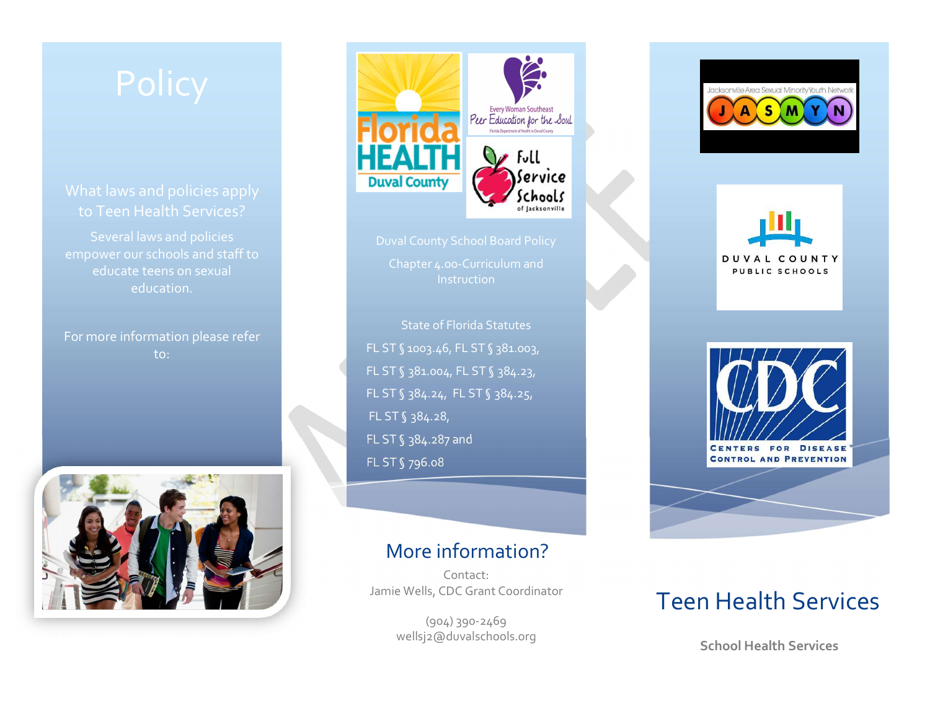to Teen Health Services?

educate teens on sexual education.

For more information please refer to:





**Instruction** 

State of Florida Statutes FL ST § 1003.46, FL ST § 381.003, FL ST § 381.004, FL ST § 384.23, FL ST § 384.24, FL ST § 384.25, FL ST § 384.28, FL ST § 384.287 and FL ST § 796.08

#### More information?

Contact:Jamie Wells, CDC Grant Coordinator

> $(904)$  390-2469 wellsj2@duvalschools.org



DUVAL COUNTY PUBLIC SCHOOLS



CENTERS FOR DISEAS **CONTROL AND PREVENTION** 



## Teen Health Services

**School Health Services**